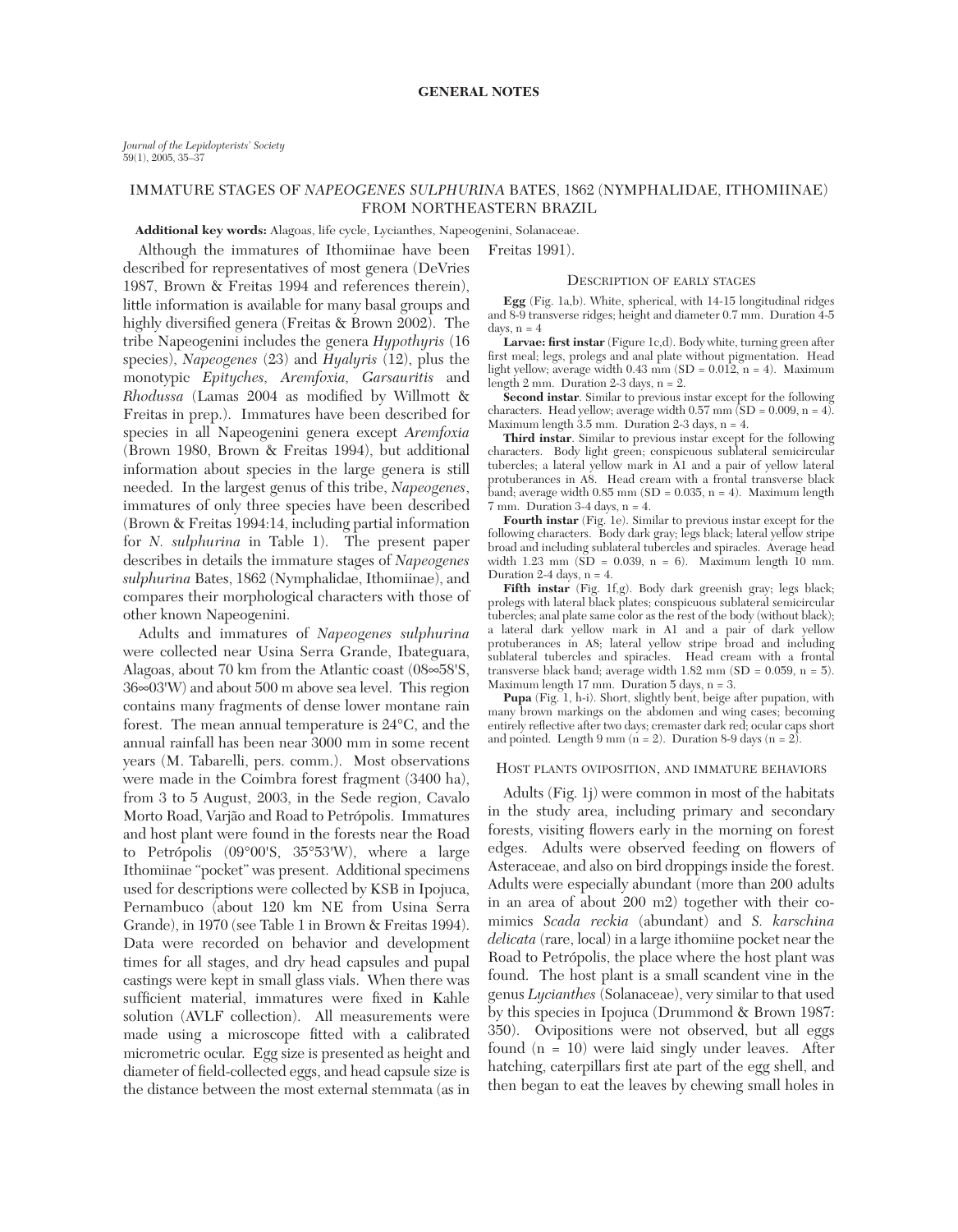# IMMATURE STAGES OF *NAPEOGENES SULPHURINA* BATES, 1862 (NYMPHALIDAE, ITHOMIINAE) FROM NORTHEASTERN BRAZIL

### **Additional key words:** Alagoas, life cycle, Lycianthes, Napeogenini, Solanaceae.

Although the immatures of Ithomiinae have been Freitas 1991).

described for representatives of most genera (DeVries 1987, Brown & Freitas 1994 and references therein), little information is available for many basal groups and highly diversified genera (Freitas & Brown 2002). The tribe Napeogenini includes the genera *Hypothyris* (16 species), *Napeogenes* (23) and *Hyalyris* (12), plus the monotypic *Epityches, Aremfoxia, Garsauritis* and *Rhodussa* (Lamas 2004 as modified by Willmott & Freitas in prep.). Immatures have been described for species in all Napeogenini genera except *Aremfoxia* (Brown 1980, Brown & Freitas 1994), but additional information about species in the large genera is still needed. In the largest genus of this tribe, *Napeogenes*, immatures of only three species have been described (Brown & Freitas 1994:14, including partial information for *N. sulphurina* in Table 1). The present paper describes in details the immature stages of *Napeogenes sulphurina* Bates, 1862 (Nymphalidae, Ithomiinae), and compares their morphological characters with those of other known Napeogenini.

Adults and immatures of *Napeogenes sulphurina* were collected near Usina Serra Grande, Ibateguara, Alagoas, about 70 km from the Atlantic coast (08∞58'S, 36∞03'W) and about 500 m above sea level. This region contains many fragments of dense lower montane rain forest. The mean annual temperature is 24°C, and the annual rainfall has been near 3000 mm in some recent years (M. Tabarelli, pers. comm.). Most observations were made in the Coimbra forest fragment (3400 ha), from 3 to 5 August, 2003, in the Sede region, Cavalo Morto Road, Varjão and Road to Petrópolis. Immatures and host plant were found in the forests near the Road to Petrópolis (09°00'S, 35°53'W), where a large Ithomiinae "pocket" was present. Additional specimens used for descriptions were collected by KSB in Ipojuca, Pernambuco (about 120 km NE from Usina Serra Grande), in 1970 (see Table 1 in Brown & Freitas 1994). Data were recorded on behavior and development times for all stages, and dry head capsules and pupal castings were kept in small glass vials. When there was sufficient material, immatures were fixed in Kahle solution (AVLF collection). All measurements were made using a microscope fitted with a calibrated micrometric ocular. Egg size is presented as height and diameter of field-collected eggs, and head capsule size is the distance between the most external stemmata (as in

#### DESCRIPTION OF EARLY STAGES

**Egg** (Fig. 1a,b). White, spherical, with 14-15 longitudinal ridges and 8-9 transverse ridges; height and diameter 0.7 mm. Duration 4-5 days,  $n = 4$ 

**Larvae: first instar** (Figure 1c,d). Body white, turning green after first meal; legs, prolegs and anal plate without pigmentation. Head light yellow; average width  $0.43$  mm (SD =  $0.012$ , n = 4). Maximum length 2 mm. Duration 2-3 days,  $n = 2$ .

**Second instar**. Similar to previous instar except for the following characters. Head yellow; average width  $0.57$  mm (SD = 0.009, n = 4). Maximum length 3.5 mm. Duration 2-3 days, n = 4.

**Third instar**. Similar to previous instar except for the following characters. Body light green; conspicuous sublateral semicircular tubercles; a lateral yellow mark in A1 and a pair of yellow lateral protuberances in A8. Head cream with a frontal transverse black  $\delta$ and; average width 0.85 mm (SD = 0.035, n = 4). Maximum length 7 mm. Duration 3-4 days, n = 4.

**Fourth instar** (Fig. 1e). Similar to previous instar except for the following characters. Body dark gray; legs black; lateral yellow stripe broad and including sublateral tubercles and spiracles. Average head width 1.23 mm (SD = 0.039, n = 6). Maximum length 10 mm. Duration 2-4 days,  $n = 4$ .

**Fifth instar** (Fig. 1f,g). Body dark greenish gray; legs black; prolegs with lateral black plates; conspicuous sublateral semicircular tubercles; anal plate same color as the rest of the body (without black); a lateral dark yellow mark in A1 and a pair of dark yellow protuberances in A8; lateral yellow stripe broad and including sublateral tubercles and spiracles. Head cream with a frontal transverse black band; average width 1.82 mm (SD = 0.059, n = 5). Maximum length 17 mm. Duration 5 days, n = 3.

**Pupa** (Fig. 1, h-i). Short, slightly bent, beige after pupation, with many brown markings on the abdomen and wing cases; becoming entirely reflective after two days; cremaster dark red; ocular caps short and pointed. Length 9 mm ( $n = 2$ ). Duration 8-9 days ( $n = 2$ ).

### HOST PLANTS OVIPOSITION, AND IMMATURE BEHAVIORS

Adults (Fig. 1j) were common in most of the habitats in the study area, including primary and secondary forests, visiting flowers early in the morning on forest edges. Adults were observed feeding on flowers of Asteraceae, and also on bird droppings inside the forest. Adults were especially abundant (more than 200 adults in an area of about 200 m2) together with their comimics *Scada reckia* (abundant) and *S. karschina delicata* (rare, local) in a large ithomiine pocket near the Road to Petrópolis, the place where the host plant was found. The host plant is a small scandent vine in the genus *Lycianthes* (Solanaceae), very similar to that used by this species in Ipojuca (Drummond & Brown 1987: 350). Ovipositions were not observed, but all eggs found (n = 10) were laid singly under leaves. After hatching, caterpillars first ate part of the egg shell, and then began to eat the leaves by chewing small holes in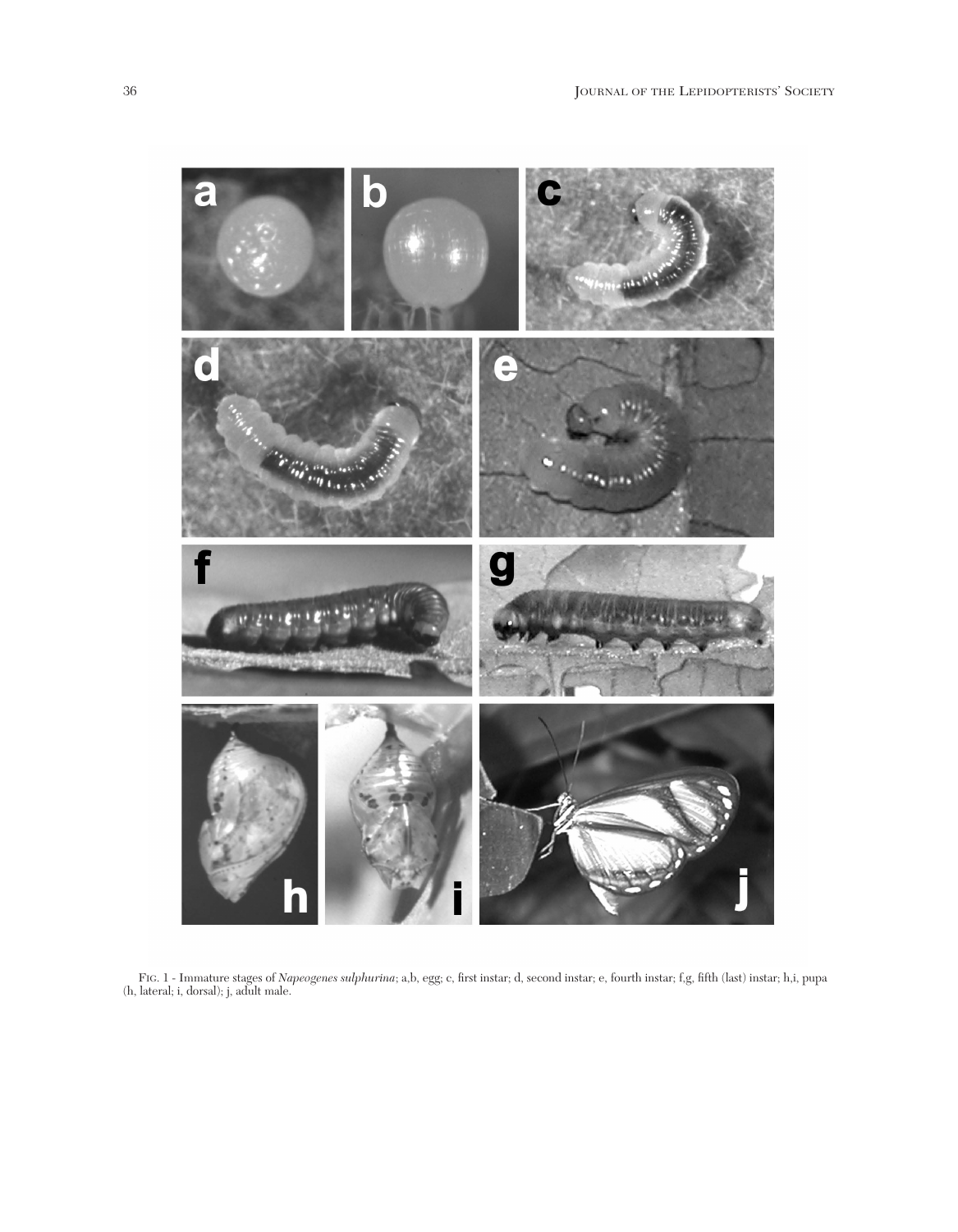

FIG. 1 - Immature stages of *Napeogenes sulphurina*; a,b, egg; c, first instar; d, second instar; e, fourth instar; f,g, fifth (last) instar; h,i, pupa (h, lateral; i, dorsal); j, adult male.